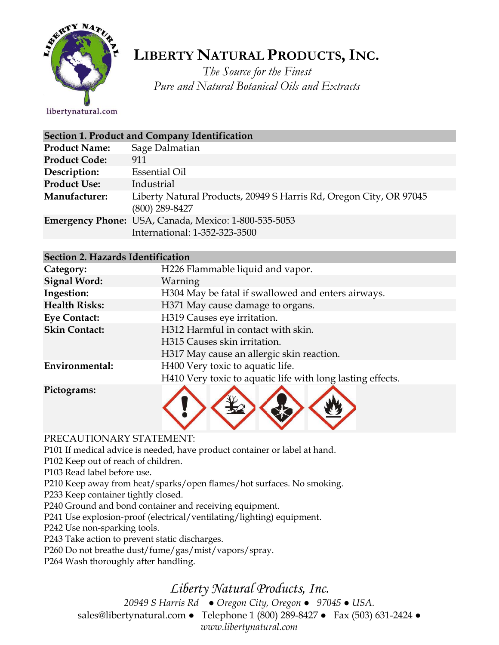

# **LIBERTY NATURAL PRODUCTS,INC.**

*The Source for the Finest Pure and Natural Botanical Oils and Extracts*

libertynatural.com

| Section 1. Product and Company Identification |                                                                                        |  |
|-----------------------------------------------|----------------------------------------------------------------------------------------|--|
| <b>Product Name:</b>                          | Sage Dalmatian                                                                         |  |
| <b>Product Code:</b>                          | 911                                                                                    |  |
| Description:                                  | <b>Essential Oil</b>                                                                   |  |
| <b>Product Use:</b>                           | Industrial                                                                             |  |
| Manufacturer:                                 | Liberty Natural Products, 20949 S Harris Rd, Oregon City, OR 97045<br>$(800)$ 289-8427 |  |
|                                               | Emergency Phone: USA, Canada, Mexico: 1-800-535-5053<br>International: 1-352-323-3500  |  |

| Section 2. Hazards Identification |                                                            |
|-----------------------------------|------------------------------------------------------------|
| Category:                         | H226 Flammable liquid and vapor.                           |
| <b>Signal Word:</b>               | Warning                                                    |
| Ingestion:                        | H304 May be fatal if swallowed and enters airways.         |
| <b>Health Risks:</b>              | H371 May cause damage to organs.                           |
| <b>Eye Contact:</b>               | H319 Causes eye irritation.                                |
| <b>Skin Contact:</b>              | H312 Harmful in contact with skin.                         |
|                                   | H315 Causes skin irritation.                               |
|                                   | H317 May cause an allergic skin reaction.                  |
| Environmental:                    | H400 Very toxic to aquatic life.                           |
|                                   | H410 Very toxic to aquatic life with long lasting effects. |
|                                   |                                                            |

**Pictograms:**



#### PRECAUTIONARY STATEMENT:

P101 If medical advice is needed, have product container or label at hand.

P102 Keep out of reach of children.

P103 Read label before use.

P210 Keep away from heat/sparks/open flames/hot surfaces. No smoking.

P233 Keep container tightly closed.

P240 Ground and bond container and receiving equipment.

P241 Use explosion-proof (electrical/ventilating/lighting) equipment.

P242 Use non-sparking tools.

P243 Take action to prevent static discharges.

P260 Do not breathe dust/fume/gas/mist/vapors/spray.

P264 Wash thoroughly after handling.

## *Liberty Natural Products, Inc.*

*20949 S Harris Rd ● Oregon City, Oregon ● 97045 ● USA.* 

sales@libertynatural.com *●* Telephone 1 (800) 289-8427 ● Fax (503) 631-2424 *●*

*www.libertynatural.com*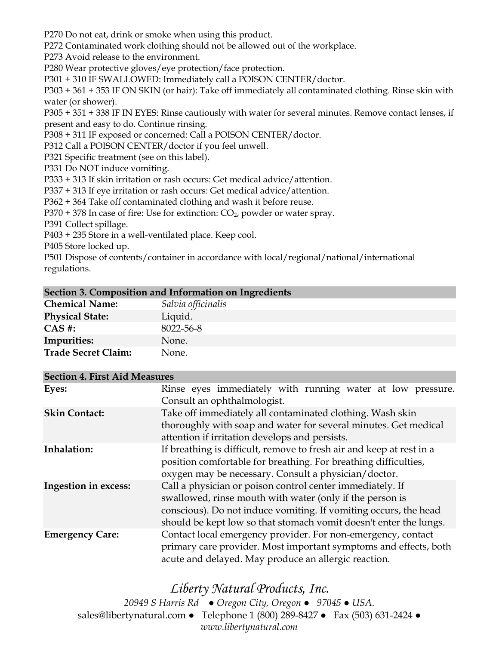P270 Do not eat, drink or smoke when using this product.

P272 Contaminated work clothing should not be allowed out of the workplace.

P273 Avoid release to the environment.

P280 Wear protective gloves/eye protection/face protection.

P301 + 310 IF SWALLOWED: Immediately call a POISON CENTER/doctor.

P303 + 361 + 353 IF ON SKIN (or hair): Take off immediately all contaminated clothing. Rinse skin with water (or shower).

P305 + 351 + 338 IF IN EYES: Rinse cautiously with water for several minutes. Remove contact lenses, if present and easy to do. Continue rinsing.

P308 + 311 IF exposed or concerned: Call a POISON CENTER/doctor.

P312 Call a POISON CENTER/doctor if you feel unwell.

P321 Specific treatment (see on this label).

P331 Do NOT induce vomiting.

P333 + 313 If skin irritation or rash occurs: Get medical advice/attention.

P337 + 313 If eye irritation or rash occurs: Get medical advice/attention.

P362 + 364 Take off contaminated clothing and wash it before reuse.

 $P370 + 378$  In case of fire: Use for extinction:  $CO<sub>2</sub>$ , powder or water spray.

P391 Collect spillage.

P403 + 235 Store in a well-ventilated place. Keep cool.

P405 Store locked up.

P501 Dispose of contents/container in accordance with local/regional/national/international regulations.

| Section 3. Composition and Information on Ingredients |                    |  |
|-------------------------------------------------------|--------------------|--|
| <b>Chemical Name:</b>                                 | Salvia officinalis |  |
| <b>Physical State:</b>                                | Liquid.            |  |
| $CAS$ #:                                              | 8022-56-8          |  |
| <b>Impurities:</b>                                    | None.              |  |
| <b>Trade Secret Claim:</b>                            | None.              |  |

| <b>Section 4. First Aid Measures</b> |                                                                                                                                                                                                                                                                |
|--------------------------------------|----------------------------------------------------------------------------------------------------------------------------------------------------------------------------------------------------------------------------------------------------------------|
| Eyes:                                | Rinse eyes immediately with running water at low pressure.<br>Consult an ophthalmologist.                                                                                                                                                                      |
| <b>Skin Contact:</b>                 | Take off immediately all contaminated clothing. Wash skin<br>thoroughly with soap and water for several minutes. Get medical<br>attention if irritation develops and persists.                                                                                 |
| Inhalation:                          | If breathing is difficult, remove to fresh air and keep at rest in a<br>position comfortable for breathing. For breathing difficulties,<br>oxygen may be necessary. Consult a physician/doctor.                                                                |
| <b>Ingestion in excess:</b>          | Call a physician or poison control center immediately. If<br>swallowed, rinse mouth with water (only if the person is<br>conscious). Do not induce vomiting. If vomiting occurs, the head<br>should be kept low so that stomach vomit doesn't enter the lungs. |
| <b>Emergency Care:</b>               | Contact local emergency provider. For non-emergency, contact<br>primary care provider. Most important symptoms and effects, both<br>acute and delayed. May produce an allergic reaction.                                                                       |

### *Liberty Natural Products, Inc.*

*20949 S Harris Rd ● Oregon City, Oregon ● 97045 ● USA.*  sales@libertynatural.com *●* Telephone 1 (800) 289-8427 ● Fax (503) 631-2424 *● www.libertynatural.com*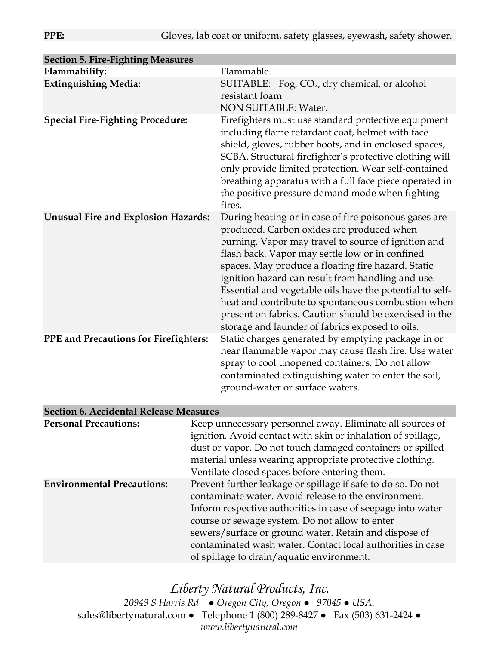| <b>Section 5. Fire-Fighting Measures</b>     |                                                                                                                                                                                                                                                                                                                                                                                                                                                                                                                                                        |
|----------------------------------------------|--------------------------------------------------------------------------------------------------------------------------------------------------------------------------------------------------------------------------------------------------------------------------------------------------------------------------------------------------------------------------------------------------------------------------------------------------------------------------------------------------------------------------------------------------------|
| Flammability:                                | Flammable.                                                                                                                                                                                                                                                                                                                                                                                                                                                                                                                                             |
| <b>Extinguishing Media:</b>                  | SUITABLE: Fog, CO2, dry chemical, or alcohol<br>resistant foam<br>NON SUITABLE: Water.                                                                                                                                                                                                                                                                                                                                                                                                                                                                 |
| <b>Special Fire-Fighting Procedure:</b>      | Firefighters must use standard protective equipment<br>including flame retardant coat, helmet with face<br>shield, gloves, rubber boots, and in enclosed spaces,<br>SCBA. Structural firefighter's protective clothing will<br>only provide limited protection. Wear self-contained<br>breathing apparatus with a full face piece operated in<br>the positive pressure demand mode when fighting<br>fires.                                                                                                                                             |
| <b>Unusual Fire and Explosion Hazards:</b>   | During heating or in case of fire poisonous gases are<br>produced. Carbon oxides are produced when<br>burning. Vapor may travel to source of ignition and<br>flash back. Vapor may settle low or in confined<br>spaces. May produce a floating fire hazard. Static<br>ignition hazard can result from handling and use.<br>Essential and vegetable oils have the potential to self-<br>heat and contribute to spontaneous combustion when<br>present on fabrics. Caution should be exercised in the<br>storage and launder of fabrics exposed to oils. |
| <b>PPE and Precautions for Firefighters:</b> | Static charges generated by emptying package in or<br>near flammable vapor may cause flash fire. Use water<br>spray to cool unopened containers. Do not allow<br>contaminated extinguishing water to enter the soil,<br>ground-water or surface waters.                                                                                                                                                                                                                                                                                                |

| <b>Personal Precautions:</b>      | Keep unnecessary personnel away. Eliminate all sources of<br>ignition. Avoid contact with skin or inhalation of spillage,<br>dust or vapor. Do not touch damaged containers or spilled<br>material unless wearing appropriate protective clothing.<br>Ventilate closed spaces before entering them.                                                                                                       |
|-----------------------------------|-----------------------------------------------------------------------------------------------------------------------------------------------------------------------------------------------------------------------------------------------------------------------------------------------------------------------------------------------------------------------------------------------------------|
| <b>Environmental Precautions:</b> | Prevent further leakage or spillage if safe to do so. Do not<br>contaminate water. Avoid release to the environment.<br>Inform respective authorities in case of seepage into water<br>course or sewage system. Do not allow to enter<br>sewers/surface or ground water. Retain and dispose of<br>contaminated wash water. Contact local authorities in case<br>of spillage to drain/aquatic environment. |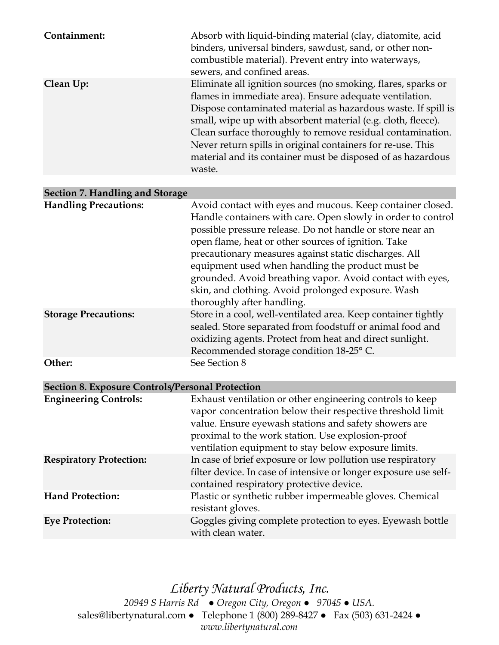| Containment:                                            | Absorb with liquid-binding material (clay, diatomite, acid<br>binders, universal binders, sawdust, sand, or other non-<br>combustible material). Prevent entry into waterways,<br>sewers, and confined areas.                                                                                                                                                                                                                                                                                                |
|---------------------------------------------------------|--------------------------------------------------------------------------------------------------------------------------------------------------------------------------------------------------------------------------------------------------------------------------------------------------------------------------------------------------------------------------------------------------------------------------------------------------------------------------------------------------------------|
| Clean Up:                                               | Eliminate all ignition sources (no smoking, flares, sparks or<br>flames in immediate area). Ensure adequate ventilation.<br>Dispose contaminated material as hazardous waste. If spill is<br>small, wipe up with absorbent material (e.g. cloth, fleece).<br>Clean surface thoroughly to remove residual contamination.<br>Never return spills in original containers for re-use. This<br>material and its container must be disposed of as hazardous<br>waste.                                              |
| Section 7. Handling and Storage                         |                                                                                                                                                                                                                                                                                                                                                                                                                                                                                                              |
| <b>Handling Precautions:</b>                            | Avoid contact with eyes and mucous. Keep container closed.<br>Handle containers with care. Open slowly in order to control<br>possible pressure release. Do not handle or store near an<br>open flame, heat or other sources of ignition. Take<br>precautionary measures against static discharges. All<br>equipment used when handling the product must be<br>grounded. Avoid breathing vapor. Avoid contact with eyes,<br>skin, and clothing. Avoid prolonged exposure. Wash<br>thoroughly after handling. |
| <b>Storage Precautions:</b>                             | Store in a cool, well-ventilated area. Keep container tightly<br>sealed. Store separated from foodstuff or animal food and<br>oxidizing agents. Protect from heat and direct sunlight.<br>Recommended storage condition 18-25° C.                                                                                                                                                                                                                                                                            |
| Other:                                                  | See Section 8                                                                                                                                                                                                                                                                                                                                                                                                                                                                                                |
| <b>Section 8. Exposure Controls/Personal Protection</b> |                                                                                                                                                                                                                                                                                                                                                                                                                                                                                                              |
| <b>Engineering Controls:</b>                            | Exhaust ventilation or other engineering controls to keep<br>vapor concentration below their respective threshold limit<br>value. Ensure eyewash stations and safety showers are<br>proximal to the work station. Use explosion-proof<br>ventilation equipment to stay below exposure limits.                                                                                                                                                                                                                |
| <b>Respiratory Protection:</b>                          | In case of brief exposure or low pollution use respiratory<br>filter device. In case of intensive or longer exposure use self-<br>contained respiratory protective device.                                                                                                                                                                                                                                                                                                                                   |
| <b>Hand Protection:</b>                                 | Plastic or synthetic rubber impermeable gloves. Chemical<br>resistant gloves.                                                                                                                                                                                                                                                                                                                                                                                                                                |
| <b>Eye Protection:</b>                                  | Goggles giving complete protection to eyes. Eyewash bottle<br>with clean water.                                                                                                                                                                                                                                                                                                                                                                                                                              |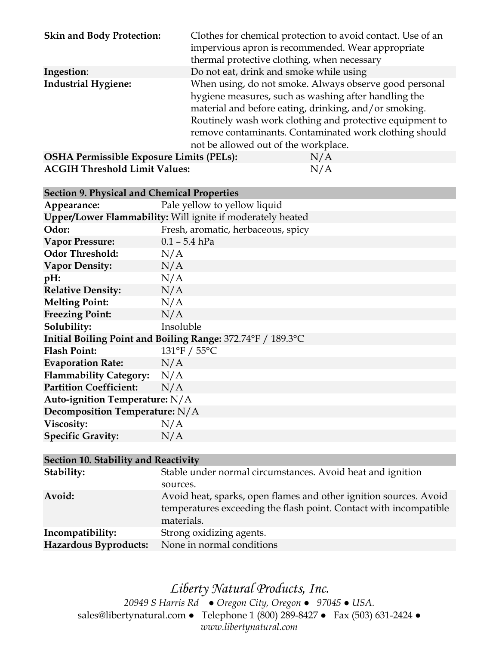| <b>Skin and Body Protection:</b>                | Clothes for chemical protection to avoid contact. Use of an<br>impervious apron is recommended. Wear appropriate<br>thermal protective clothing, when necessary                                                                                                                                                                       |
|-------------------------------------------------|---------------------------------------------------------------------------------------------------------------------------------------------------------------------------------------------------------------------------------------------------------------------------------------------------------------------------------------|
| Ingestion:                                      | Do not eat, drink and smoke while using                                                                                                                                                                                                                                                                                               |
| <b>Industrial Hygiene:</b>                      | When using, do not smoke. Always observe good personal<br>hygiene measures, such as washing after handling the<br>material and before eating, drinking, and/or smoking.<br>Routinely wash work clothing and protective equipment to<br>remove contaminants. Contaminated work clothing should<br>not be allowed out of the workplace. |
| <b>OSHA Permissible Exposure Limits (PELs):</b> | N/A                                                                                                                                                                                                                                                                                                                                   |

**ACGIH Threshold Limit Values:** N/A

| <b>Section 9. Physical and Chemical Properties</b>          |                                    |  |
|-------------------------------------------------------------|------------------------------------|--|
| Appearance:                                                 | Pale yellow to yellow liquid       |  |
| Upper/Lower Flammability: Will ignite if moderately heated  |                                    |  |
| Odor:                                                       | Fresh, aromatic, herbaceous, spicy |  |
| <b>Vapor Pressure:</b>                                      | $0.1 - 5.4$ hPa                    |  |
| <b>Odor Threshold:</b>                                      | N/A                                |  |
| <b>Vapor Density:</b>                                       | N/A                                |  |
| pH:                                                         | N/A                                |  |
| <b>Relative Density:</b>                                    | N/A                                |  |
| <b>Melting Point:</b>                                       | N/A                                |  |
| <b>Freezing Point:</b>                                      | N/A                                |  |
| Solubility:                                                 | Insoluble                          |  |
| Initial Boiling Point and Boiling Range: 372.74°F / 189.3°C |                                    |  |
| <b>Flash Point:</b>                                         | 131°F / 55°C                       |  |
| <b>Evaporation Rate:</b>                                    | N/A                                |  |
| Flammability Category: N/A                                  |                                    |  |
| <b>Partition Coefficient:</b>                               | N/A                                |  |
| Auto-ignition Temperature: N/A                              |                                    |  |
| Decomposition Temperature: N/A                              |                                    |  |
| Viscosity:                                                  | N/A                                |  |
| <b>Specific Gravity:</b>                                    | N/A                                |  |

| Section 10. Stability and Reactivity |                                                                                                                                                      |  |
|--------------------------------------|------------------------------------------------------------------------------------------------------------------------------------------------------|--|
| Stability:                           | Stable under normal circumstances. Avoid heat and ignition                                                                                           |  |
|                                      | sources.                                                                                                                                             |  |
| Avoid:                               | Avoid heat, sparks, open flames and other ignition sources. Avoid<br>temperatures exceeding the flash point. Contact with incompatible<br>materials. |  |
| Incompatibility:                     | Strong oxidizing agents.                                                                                                                             |  |
| Hazardous Byproducts:                | None in normal conditions                                                                                                                            |  |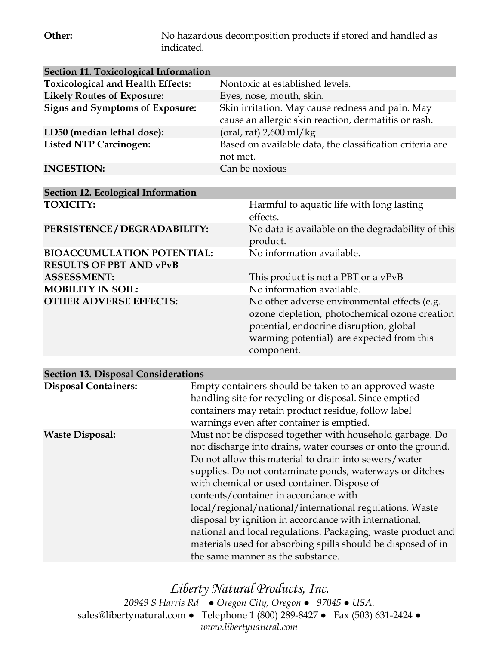**Other:** No hazardous decomposition products if stored and handled as indicated.

| <b>Section 11. Toxicological Information</b> |                                                                                                                                                                                                     |
|----------------------------------------------|-----------------------------------------------------------------------------------------------------------------------------------------------------------------------------------------------------|
| <b>Toxicological and Health Effects:</b>     | Nontoxic at established levels.                                                                                                                                                                     |
| <b>Likely Routes of Exposure:</b>            | Eyes, nose, mouth, skin.                                                                                                                                                                            |
| <b>Signs and Symptoms of Exposure:</b>       | Skin irritation. May cause redness and pain. May<br>cause an allergic skin reaction, dermatitis or rash.                                                                                            |
| LD50 (median lethal dose):                   | (oral, rat) $2,600$ ml/kg                                                                                                                                                                           |
| <b>Listed NTP Carcinogen:</b>                | Based on available data, the classification criteria are<br>not met.                                                                                                                                |
| <b>INGESTION:</b>                            | Can be noxious                                                                                                                                                                                      |
|                                              |                                                                                                                                                                                                     |
| Section 12. Ecological Information           |                                                                                                                                                                                                     |
| <b>TOXICITY:</b>                             | Harmful to aquatic life with long lasting<br>effects.                                                                                                                                               |
| PERSISTENCE / DEGRADABILITY:                 | No data is available on the degradability of this<br>product.                                                                                                                                       |
| <b>BIOACCUMULATION POTENTIAL:</b>            | No information available.                                                                                                                                                                           |
| <b>RESULTS OF PBT AND vPvB</b>               |                                                                                                                                                                                                     |
| <b>ASSESSMENT:</b>                           | This product is not a PBT or a vPvB                                                                                                                                                                 |
| <b>MOBILITY IN SOIL:</b>                     | No information available.                                                                                                                                                                           |
| <b>OTHER ADVERSE EFFECTS:</b>                | No other adverse environmental effects (e.g.<br>ozone depletion, photochemical ozone creation<br>potential, endocrine disruption, global<br>warming potential) are expected from this<br>component. |

| <b>Section 13. Disposal Considerations</b> |                                                                                                                                                                                                                                                                                                                                                                                                                                                                                                                                                                                                                                  |  |  |
|--------------------------------------------|----------------------------------------------------------------------------------------------------------------------------------------------------------------------------------------------------------------------------------------------------------------------------------------------------------------------------------------------------------------------------------------------------------------------------------------------------------------------------------------------------------------------------------------------------------------------------------------------------------------------------------|--|--|
| <b>Disposal Containers:</b>                | Empty containers should be taken to an approved waste<br>handling site for recycling or disposal. Since emptied<br>containers may retain product residue, follow label<br>warnings even after container is emptied.                                                                                                                                                                                                                                                                                                                                                                                                              |  |  |
| <b>Waste Disposal:</b>                     | Must not be disposed together with household garbage. Do<br>not discharge into drains, water courses or onto the ground.<br>Do not allow this material to drain into sewers/water<br>supplies. Do not contaminate ponds, waterways or ditches<br>with chemical or used container. Dispose of<br>contents/container in accordance with<br>local/regional/national/international regulations. Waste<br>disposal by ignition in accordance with international,<br>national and local regulations. Packaging, waste product and<br>materials used for absorbing spills should be disposed of in<br>the same manner as the substance. |  |  |